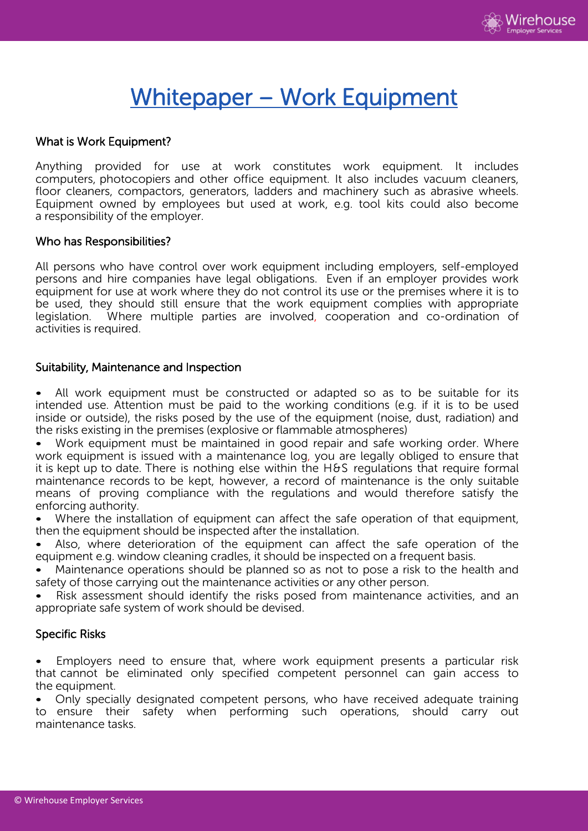

# Whitepaper – Work Equipment

# What is Work Equipment?

Anything provided for use at work constitutes work equipment. It includes computers, photocopiers and other office equipment. It also includes vacuum cleaners, floor cleaners, compactors, generators, ladders and machinery such as abrasive wheels. Equipment owned by employees but used at work, e.g. tool kits could also become a responsibility of the employer.

#### Who has Responsibilities?

All persons who have control over work equipment including employers, self-employed persons and hire companies have legal obligations. Even if an employer provides work equipment for use at work where they do not control its use or the premises where it is to be used, they should still ensure that the work equipment complies with appropriate legislation. Where multiple parties are involved, cooperation and co-ordination of activities is required.

## Suitability, Maintenance and Inspection

• All work equipment must be constructed or adapted so as to be suitable for its intended use. Attention must be paid to the working conditions (e.g. if it is to be used inside or outside), the risks posed by the use of the equipment (noise, dust, radiation) and the risks existing in the premises (explosive or flammable atmospheres)

Work equipment must be maintained in good repair and safe working order. Where work equipment is issued with a maintenance log, you are legally obliged to ensure that it is kept up to date. There is nothing else within the H&S regulations that require formal maintenance records to be kept, however, a record of maintenance is the only suitable means of proving compliance with the regulations and would therefore satisfy the enforcing authority.

Where the installation of equipment can affect the safe operation of that equipment, then the equipment should be inspected after the installation.

Also, where deterioration of the equipment can affect the safe operation of the equipment e.g. window cleaning cradles, it should be inspected on a frequent basis.

• Maintenance operations should be planned so as not to pose a risk to the health and safety of those carrying out the maintenance activities or any other person.

• Risk assessment should identify the risks posed from maintenance activities, and an appropriate safe system of work should be devised.

# Specific Risks

• Employers need to ensure that, where work equipment presents a particular risk that cannot be eliminated only specified competent personnel can gain access to the equipment.

• Only specially designated competent persons, who have received adequate training to ensure their safety when performing such operations, should carry out maintenance tasks.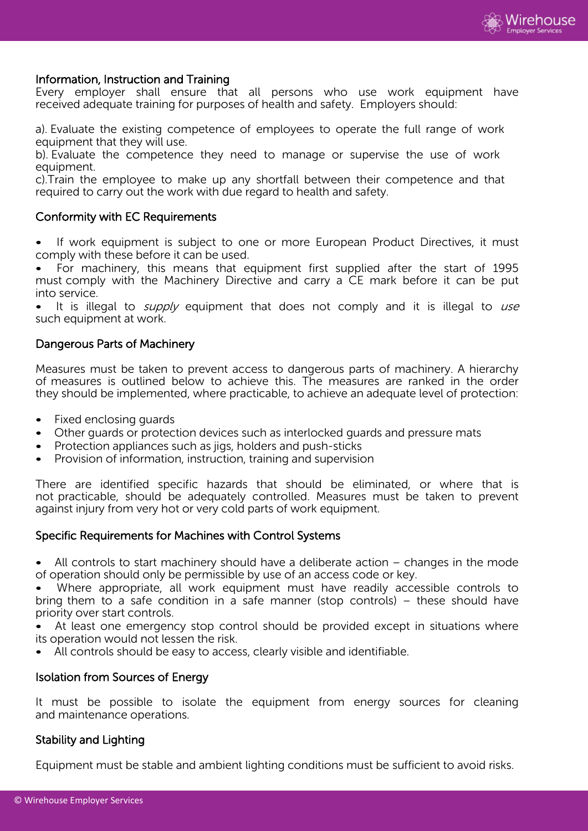

## Information, Instruction and Training

Every employer shall ensure that all persons who use work equipment have received adequate training for purposes of health and safety. Employers should:

a). Evaluate the existing competence of employees to operate the full range of work equipment that they will use.

b). Evaluate the competence they need to manage or supervise the use of work equipment.

c).Train the employee to make up any shortfall between their competence and that required to carry out the work with due regard to health and safety.

## Conformity with EC Requirements

If work equipment is subject to one or more European Product Directives, it must comply with these before it can be used.

• For machinery, this means that equipment first supplied after the start of 1995 must comply with the Machinery Directive and carry a CE mark before it can be put into service.

It is illegal to  $supply$  equipment that does not comply and it is illegal to use such equipment at work.

#### Dangerous Parts of Machinery

Measures must be taken to prevent access to dangerous parts of machinery. A hierarchy of measures is outlined below to achieve this. The measures are ranked in the order they should be implemented, where practicable, to achieve an adequate level of protection:

- Fixed enclosing guards
- Other guards or protection devices such as interlocked guards and pressure mats
- Protection appliances such as jigs, holders and push-sticks
- Provision of information, instruction, training and supervision

There are identified specific hazards that should be eliminated, or where that is not practicable, should be adequately controlled. Measures must be taken to prevent against injury from very hot or very cold parts of work equipment.

#### Specific Requirements for Machines with Control Systems

All controls to start machinery should have a deliberate action  $-$  changes in the mode of operation should only be permissible by use of an access code or key.

Where appropriate, all work equipment must have readily accessible controls to bring them to a safe condition in a safe manner (stop controls) – these should have priority over start controls.

At least one emergency stop control should be provided except in situations where its operation would not lessen the risk.

All controls should be easy to access, clearly visible and identifiable.

# Isolation from Sources of Energy

It must be possible to isolate the equipment from energy sources for cleaning and maintenance operations.

#### Stability and Lighting

Equipment must be stable and ambient lighting conditions must be sufficient to avoid risks.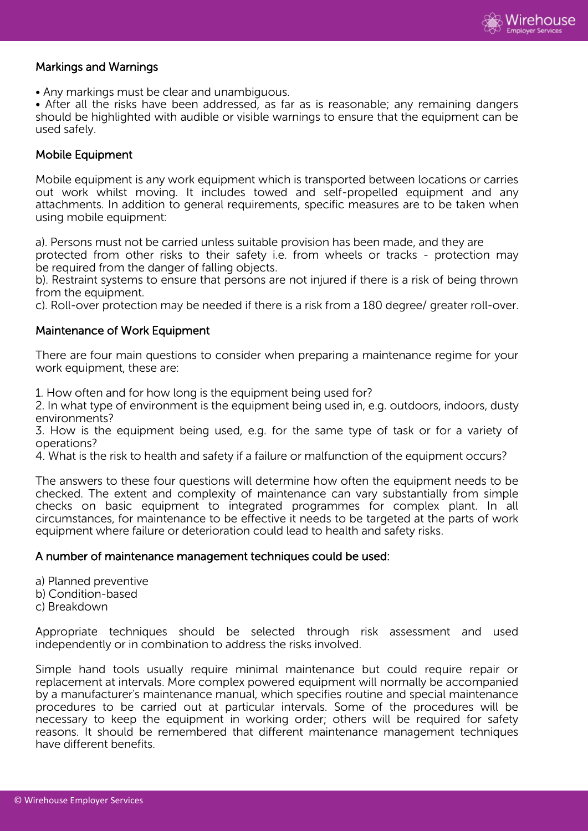

# Markings and Warnings

• Any markings must be clear and unambiguous.

• After all the risks have been addressed, as far as is reasonable; any remaining dangers should be highlighted with audible or visible warnings to ensure that the equipment can be used safely.

# Mobile Equipment

Mobile equipment is any work equipment which is transported between locations or carries out work whilst moving. It includes towed and self-propelled equipment and any attachments. In addition to general requirements, specific measures are to be taken when using mobile equipment:

a). Persons must not be carried unless suitable provision has been made, and they are

protected from other risks to their safety i.e. from wheels or tracks - protection may be required from the danger of falling objects.

b). Restraint systems to ensure that persons are not injured if there is a risk of being thrown from the equipment.

c). Roll-over protection may be needed if there is a risk from a 180 degree/ greater roll-over.

## Maintenance of Work Equipment

There are four main questions to consider when preparing a maintenance regime for your work equipment, these are:

1. How often and for how long is the equipment being used for?

2. In what type of environment is the equipment being used in, e.g. outdoors, indoors, dusty environments?

3. How is the equipment being used, e.g. for the same type of task or for a variety of operations?

4. What is the risk to health and safety if a failure or malfunction of the equipment occurs?

The answers to these four questions will determine how often the equipment needs to be checked. The extent and complexity of maintenance can vary substantially from simple checks on basic equipment to integrated programmes for complex plant. In all circumstances, for maintenance to be effective it needs to be targeted at the parts of work equipment where failure or deterioration could lead to health and safety risks.

#### A number of maintenance management techniques could be used:

a) Planned preventive

- b) Condition-based
- c) Breakdown

Appropriate techniques should be selected through risk assessment and used independently or in combination to address the risks involved.

Simple hand tools usually require minimal maintenance but could require repair or replacement at intervals. More complex powered equipment will normally be accompanied by a manufacturer's maintenance manual, which specifies routine and special maintenance procedures to be carried out at particular intervals. Some of the procedures will be necessary to keep the equipment in working order; others will be required for safety reasons. It should be remembered that different maintenance management techniques have different benefits.